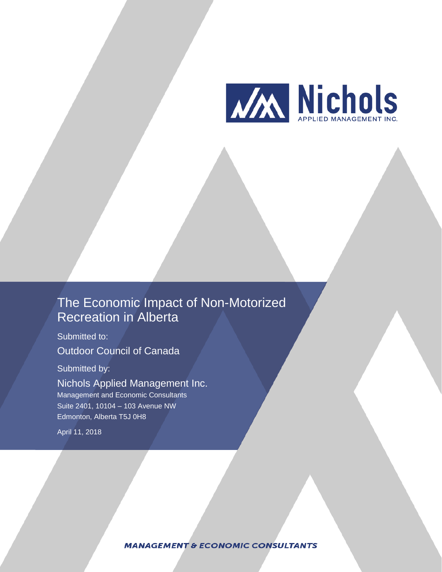

# The Economic Impact of Non-Motorized Recreation in Alberta

Submitted to: Outdoor Council of Canada

Submitted by:

Nichols Applied Management Inc. Management and Economic Consultants Suite 2401, 10104 – 103 Avenue NW Edmonton, Alberta T5J 0H8

April 11, 2018

**MANAGEMENT & ECONOMIC CONSULTANTS**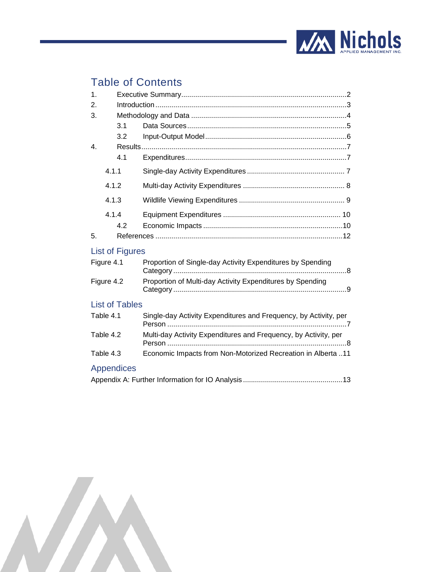

# Table of Contents

| 1.               |                        |                                                                  |  |  |  |  |  |  |  |
|------------------|------------------------|------------------------------------------------------------------|--|--|--|--|--|--|--|
| 2.               |                        |                                                                  |  |  |  |  |  |  |  |
| 3.               |                        |                                                                  |  |  |  |  |  |  |  |
|                  | 3.1                    |                                                                  |  |  |  |  |  |  |  |
|                  | 3.2                    |                                                                  |  |  |  |  |  |  |  |
| $\overline{4}$ . |                        |                                                                  |  |  |  |  |  |  |  |
|                  | 4.1                    |                                                                  |  |  |  |  |  |  |  |
| 4.1.1            |                        |                                                                  |  |  |  |  |  |  |  |
| 4.1.2            |                        |                                                                  |  |  |  |  |  |  |  |
| 4.1.3            |                        |                                                                  |  |  |  |  |  |  |  |
|                  | 4.1.4                  |                                                                  |  |  |  |  |  |  |  |
|                  | 4.2                    |                                                                  |  |  |  |  |  |  |  |
| 5.               |                        |                                                                  |  |  |  |  |  |  |  |
|                  | <b>List of Figures</b> |                                                                  |  |  |  |  |  |  |  |
|                  | Figure 4.1             | Proportion of Single-day Activity Expenditures by Spending       |  |  |  |  |  |  |  |
| Figure 4.2       |                        | Proportion of Multi-day Activity Expenditures by Spending        |  |  |  |  |  |  |  |
|                  | <b>List of Tables</b>  |                                                                  |  |  |  |  |  |  |  |
| Table 4.1        |                        | Single-day Activity Expenditures and Frequency, by Activity, per |  |  |  |  |  |  |  |
| Table 4.2        |                        | Multi-day Activity Expenditures and Frequency, by Activity, per  |  |  |  |  |  |  |  |
|                  | Table 4.3              | Economic Impacts from Non-Motorized Recreation in Alberta 11     |  |  |  |  |  |  |  |
|                  | <b>Appendices</b>      |                                                                  |  |  |  |  |  |  |  |
|                  |                        |                                                                  |  |  |  |  |  |  |  |

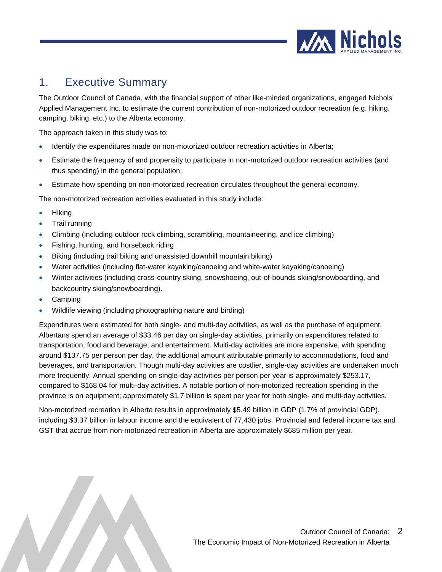

## <span id="page-2-0"></span>1. Executive Summary

The Outdoor Council of Canada, with the financial support of other like-minded organizations, engaged Nichols Applied Management Inc. to estimate the current contribution of non-motorized outdoor recreation (e.g. hiking, camping, biking, etc.) to the Alberta economy.

The approach taken in this study was to:

- Identify the expenditures made on non-motorized outdoor recreation activities in Alberta;
- Estimate the frequency of and propensity to participate in non-motorized outdoor recreation activities (and thus spending) in the general population;
- Estimate how spending on non-motorized recreation circulates throughout the general economy.

The non-motorized recreation activities evaluated in this study include:

- Hiking
- Trail running
- Climbing (including outdoor rock climbing, scrambling, mountaineering, and ice climbing)
- Fishing, hunting, and horseback riding
- Biking (including trail biking and unassisted downhill mountain biking)
- Water activities (including flat-water kayaking/canoeing and white-water kayaking/canoeing)
- Winter activities (including cross-country skiing, snowshoeing, out-of-bounds skiing/snowboarding, and backcountry skiing/snowboarding).
- Camping
- Wildlife viewing (including photographing nature and birding)

Expenditures were estimated for both single- and multi-day activities, as well as the purchase of equipment. Albertans spend an average of \$33.46 per day on single-day activities, primarily on expenditures related to transportation, food and beverage, and entertainment. Multi-day activities are more expensive, with spending around \$137.75 per person per day, the additional amount attributable primarily to accommodations, food and beverages, and transportation. Though multi-day activities are costlier, single-day activities are undertaken much more frequently. Annual spending on single-day activities per person per year is approximately \$253.17, compared to \$168.04 for multi-day activities. A notable portion of non-motorized recreation spending in the province is on equipment; approximately \$1.7 billion is spent per year for both single- and multi-day activities.

Non-motorized recreation in Alberta results in approximately \$5.49 billion in GDP (1.7% of provincial GDP), including \$3.37 billion in labour income and the equivalent of 77,430 jobs. Provincial and federal income tax and GST that accrue from non-motorized recreation in Alberta are approximately \$685 million per year.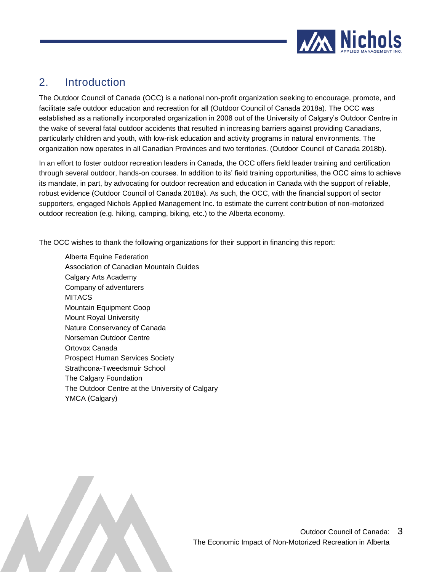

# <span id="page-3-0"></span>2. Introduction

The Outdoor Council of Canada (OCC) is a national non-profit organization seeking to encourage, promote, and facilitate safe outdoor education and recreation for all (Outdoor Council of Canada 2018a). The OCC was established as a nationally incorporated organization in 2008 out of the University of Calgary's Outdoor Centre in the wake of several fatal outdoor accidents that resulted in increasing barriers against providing Canadians, particularly children and youth, with low-risk education and activity programs in natural environments. The organization now operates in all Canadian Provinces and two territories. (Outdoor Council of Canada 2018b).

In an effort to foster outdoor recreation leaders in Canada, the OCC offers field leader training and certification through several outdoor, hands-on courses. In addition to its' field training opportunities, the OCC aims to achieve its mandate, in part, by advocating for outdoor recreation and education in Canada with the support of reliable, robust evidence (Outdoor Council of Canada 2018a). As such, the OCC, with the financial support of sector supporters, engaged Nichols Applied Management Inc. to estimate the current contribution of non-motorized outdoor recreation (e.g. hiking, camping, biking, etc.) to the Alberta economy.

The OCC wishes to thank the following organizations for their support in financing this report:

Alberta Equine Federation Association of Canadian Mountain Guides Calgary Arts Academy Company of adventurers **MITACS** Mountain Equipment Coop Mount Royal University Nature Conservancy of Canada Norseman Outdoor Centre Ortovox Canada Prospect Human Services Society Strathcona-Tweedsmuir School The Calgary Foundation The Outdoor Centre at the University of Calgary YMCA (Calgary)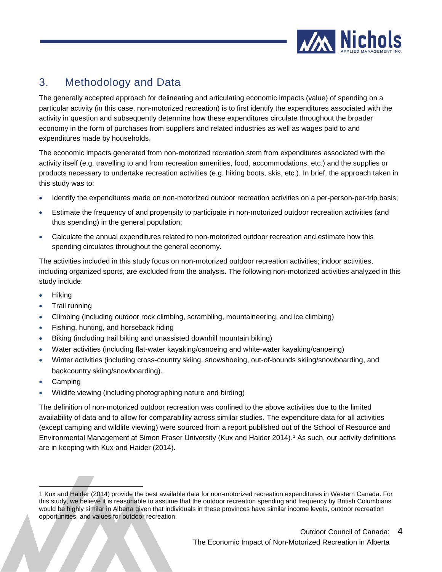

# <span id="page-4-0"></span>3. Methodology and Data

The generally accepted approach for delineating and articulating economic impacts (value) of spending on a particular activity (in this case, non-motorized recreation) is to first identify the expenditures associated with the activity in question and subsequently determine how these expenditures circulate throughout the broader economy in the form of purchases from suppliers and related industries as well as wages paid to and expenditures made by households.

The economic impacts generated from non-motorized recreation stem from expenditures associated with the activity itself (e.g. travelling to and from recreation amenities, food, accommodations, etc.) and the supplies or products necessary to undertake recreation activities (e.g. hiking boots, skis, etc.). In brief, the approach taken in this study was to:

- Identify the expenditures made on non-motorized outdoor recreation activities on a per-person-per-trip basis;
- Estimate the frequency of and propensity to participate in non-motorized outdoor recreation activities (and thus spending) in the general population;
- Calculate the annual expenditures related to non-motorized outdoor recreation and estimate how this spending circulates throughout the general economy.

The activities included in this study focus on non-motorized outdoor recreation activities; indoor activities, including organized sports, are excluded from the analysis. The following non-motorized activities analyzed in this study include:

- Hiking
- Trail running
- Climbing (including outdoor rock climbing, scrambling, mountaineering, and ice climbing)
- Fishing, hunting, and horseback riding
- Biking (including trail biking and unassisted downhill mountain biking)
- Water activities (including flat-water kayaking/canoeing and white-water kayaking/canoeing)
- Winter activities (including cross-country skiing, snowshoeing, out-of-bounds skiing/snowboarding, and backcountry skiing/snowboarding).
- Camping

l

• Wildlife viewing (including photographing nature and birding)

The definition of non-motorized outdoor recreation was confined to the above activities due to the limited availability of data and to allow for comparability across similar studies. The expenditure data for all activities (except camping and wildlife viewing) were sourced from a report published out of the School of Resource and Environmental Management at Simon Fraser University (Kux and Haider 2014). <sup>1</sup> As such, our activity definitions are in keeping with Kux and Haider (2014).

<sup>1</sup> Kux and Haider (2014) provide the best available data for non-motorized recreation expenditures in Western Canada. For this study, we believe it is reasonable to assume that the outdoor recreation spending and frequency by British Columbians would be highly similar in Alberta given that individuals in these provinces have similar income levels, outdoor recreation opportunities, and values for outdoor recreation.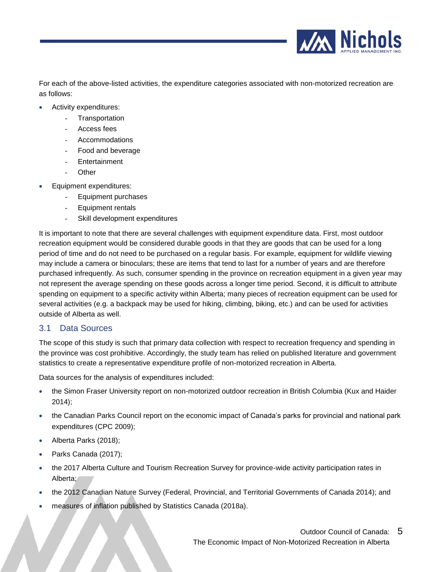

For each of the above-listed activities, the expenditure categories associated with non-motorized recreation are as follows:

- Activity expenditures:
	- **Transportation**
	- Access fees
	- Accommodations
	- Food and beverage
	- **Entertainment**
	- **Other**
- Equipment expenditures:
	- Equipment purchases
	- Equipment rentals
	- Skill development expenditures

It is important to note that there are several challenges with equipment expenditure data. First, most outdoor recreation equipment would be considered durable goods in that they are goods that can be used for a long period of time and do not need to be purchased on a regular basis. For example, equipment for wildlife viewing may include a camera or binoculars; these are items that tend to last for a number of years and are therefore purchased infrequently. As such, consumer spending in the province on recreation equipment in a given year may not represent the average spending on these goods across a longer time period. Second, it is difficult to attribute spending on equipment to a specific activity within Alberta; many pieces of recreation equipment can be used for several activities (e.g. a backpack may be used for hiking, climbing, biking, etc.) and can be used for activities outside of Alberta as well.

#### <span id="page-5-0"></span>3.1 Data Sources

The scope of this study is such that primary data collection with respect to recreation frequency and spending in the province was cost prohibitive. Accordingly, the study team has relied on published literature and government statistics to create a representative expenditure profile of non-motorized recreation in Alberta.

Data sources for the analysis of expenditures included:

- the Simon Fraser University report on non-motorized outdoor recreation in British Columbia (Kux and Haider 2014);
- the Canadian Parks Council report on the economic impact of Canada's parks for provincial and national park expenditures (CPC 2009);
- Alberta Parks (2018);
- Parks Canada (2017);
- the 2017 Alberta Culture and Tourism Recreation Survey for province-wide activity participation rates in Alberta;
- the 2012 Canadian Nature Survey (Federal, Provincial, and Territorial Governments of Canada 2014); and
- measures of inflation published by Statistics Canada (2018a).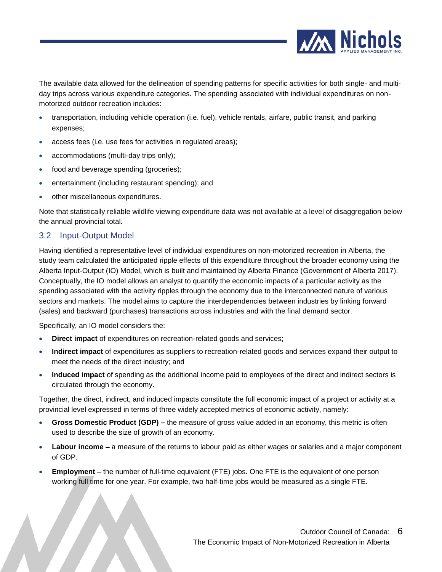

The available data allowed for the delineation of spending patterns for specific activities for both single- and multiday trips across various expenditure categories. The spending associated with individual expenditures on nonmotorized outdoor recreation includes:

- transportation, including vehicle operation (i.e. fuel), vehicle rentals, airfare, public transit, and parking expenses;
- access fees (i.e. use fees for activities in regulated areas);
- accommodations (multi-day trips only);
- food and beverage spending (groceries);
- entertainment (including restaurant spending); and
- other miscellaneous expenditures.

Note that statistically reliable wildlife viewing expenditure data was not available at a level of disaggregation below the annual provincial total.

#### <span id="page-6-0"></span>3.2 Input-Output Model

Having identified a representative level of individual expenditures on non-motorized recreation in Alberta, the study team calculated the anticipated ripple effects of this expenditure throughout the broader economy using the Alberta Input-Output (IO) Model, which is built and maintained by Alberta Finance (Government of Alberta 2017). Conceptually, the IO model allows an analyst to quantify the economic impacts of a particular activity as the spending associated with the activity ripples through the economy due to the interconnected nature of various sectors and markets. The model aims to capture the interdependencies between industries by linking forward (sales) and backward (purchases) transactions across industries and with the final demand sector.

Specifically, an IO model considers the:

- **Direct impact** of expenditures on recreation-related goods and services;
- **Indirect impact** of expenditures as suppliers to recreation-related goods and services expand their output to meet the needs of the direct industry; and
- **Induced impact** of spending as the additional income paid to employees of the direct and indirect sectors is circulated through the economy.

Together, the direct, indirect, and induced impacts constitute the full economic impact of a project or activity at a provincial level expressed in terms of three widely accepted metrics of economic activity, namely:

- **Gross Domestic Product (GDP) –** the measure of gross value added in an economy, this metric is often used to describe the size of growth of an economy.
- **Labour income –** a measure of the returns to labour paid as either wages or salaries and a major component of GDP.
- **Employment –** the number of full-time equivalent (FTE) jobs. One FTE is the equivalent of one person working full time for one year. For example, two half-time jobs would be measured as a single FTE.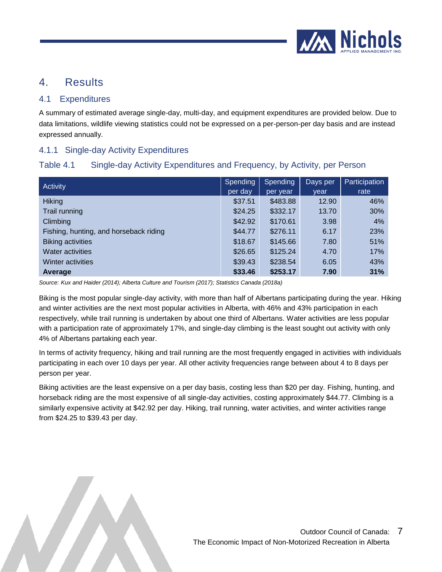

### <span id="page-7-0"></span>4. Results

#### <span id="page-7-1"></span>4.1 Expenditures

A summary of estimated average single-day, multi-day, and equipment expenditures are provided below. Due to data limitations, wildlife viewing statistics could not be expressed on a per-person-per day basis and are instead expressed annually.

#### <span id="page-7-2"></span>4.1.1 Single-day Activity Expenditures

### <span id="page-7-3"></span>Table 4.1 Single-day Activity Expenditures and Frequency, by Activity, per Person

| Activity                               | Spending<br>per day | Spending<br>per year | Days per<br>vear | Participation<br>rate |
|----------------------------------------|---------------------|----------------------|------------------|-----------------------|
| <b>Hiking</b>                          | \$37.51             | \$483.88             | 12.90            | 46%                   |
| Trail running                          | \$24.25             | \$332.17             | 13.70            | 30%                   |
| Climbing                               | \$42.92             | \$170.61             | 3.98             | 4%                    |
| Fishing, hunting, and horseback riding | \$44.77             | \$276.11             | 6.17             | 23%                   |
| <b>Biking activities</b>               | \$18.67             | \$145.66             | 7.80             | 51%                   |
| Water activities                       | \$26.65             | \$125.24             | 4.70             | 17%                   |
| Winter activities                      | \$39.43             | \$238.54             | 6.05             | 43%                   |
| Average                                | \$33.46             | \$253.17             | 7.90             | 31%                   |

*Source: Kux and Haider (2014); Alberta Culture and Tourism (2017); Statistics Canada (2018a)*

Biking is the most popular single-day activity, with more than half of Albertans participating during the year. Hiking and winter activities are the next most popular activities in Alberta, with 46% and 43% participation in each respectively, while trail running is undertaken by about one third of Albertans. Water activities are less popular with a participation rate of approximately 17%, and single-day climbing is the least sought out activity with only 4% of Albertans partaking each year.

In terms of activity frequency, hiking and trail running are the most frequently engaged in activities with individuals participating in each over 10 days per year. All other activity frequencies range between about 4 to 8 days per person per year.

Biking activities are the least expensive on a per day basis, costing less than \$20 per day. Fishing, hunting, and horseback riding are the most expensive of all single-day activities, costing approximately \$44.77. Climbing is a similarly expensive activity at \$42.92 per day. Hiking, trail running, water activities, and winter activities range from \$24.25 to \$39.43 per day.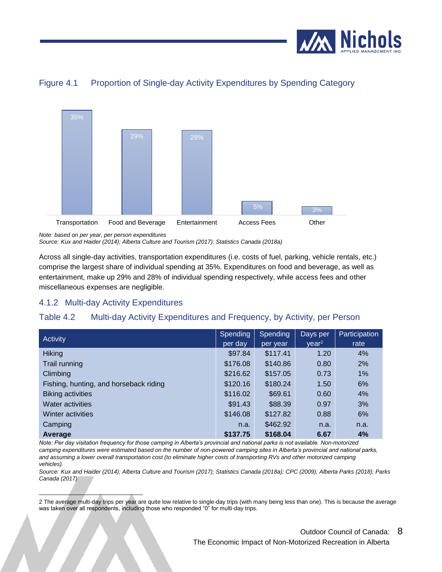

<span id="page-8-1"></span>



*Note: based on per year, per person expenditures Source: Kux and Haider (2014); Alberta Culture and Tourism (2017); Statistics Canada (2018a)*

Across all single-day activities, transportation expenditures (i.e. costs of fuel, parking, vehicle rentals, etc.) comprise the largest share of individual spending at 35%. Expenditures on food and beverage, as well as entertainment, make up 29% and 28% of individual spending respectively, while access fees and other miscellaneous expenses are negligible.

### <span id="page-8-0"></span>4.1.2 Multi-day Activity Expenditures

### <span id="page-8-2"></span>Table 4.2 Multi-day Activity Expenditures and Frequency, by Activity, per Person

| <b>Activity</b>                        | Spending | Spending  | Days per          | Participation |
|----------------------------------------|----------|-----------|-------------------|---------------|
|                                        | per day  | lper year | year <sup>2</sup> | rate          |
| <b>Hiking</b>                          | \$97.84  | \$117.41  | 1.20              | 4%            |
| Trail running                          | \$176.08 | \$140.86  | 0.80              | 2%            |
| Climbing                               | \$216.62 | \$157.05  | 0.73              | 1%            |
| Fishing, hunting, and horseback riding | \$120.16 | \$180.24  | 1.50              | 6%            |
| <b>Biking activities</b>               | \$116.02 | \$69.61   | 0.60              | 4%            |
| <b>Water activities</b>                | \$91.43  | \$88.39   | 0.97              | 3%            |
| Winter activities                      | \$146.08 | \$127.82  | 0.88              | 6%            |
| Camping                                | n.a.     | \$462.92  | n.a.              | n.a.          |
| Average                                | \$137.75 | \$168.04  | 6.67              | 4%            |

*Note: Per day visitation frequency for those camping in Alberta's provincial and national parks is not available. Non-motorized camping expenditures were estimated based on the number of non-powered camping sites in Alberta's provincial and national parks, and assuming a lower overall transportation cost (to eliminate higher costs of transporting RVs and other motorized camping vehicles).*

*Source: Kux and Haider (2014); Alberta Culture and Tourism (2017); Statistics Canada (2018a); CPC (2009); Alberta Parks (2018); Parks Canada (2017)*

l 2 The average multi-day trips per year are quite low relative to single-day trips (with many being less than one). This is because the average was taken over all respondents, including those who responded "0" for multi-day trips.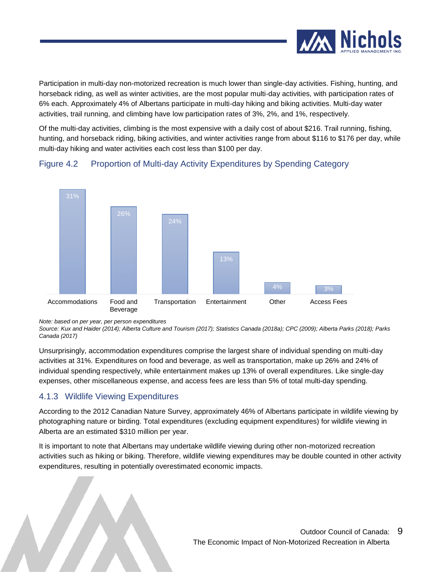

Participation in multi-day non-motorized recreation is much lower than single-day activities. Fishing, hunting, and horseback riding, as well as winter activities, are the most popular multi-day activities, with participation rates of 6% each. Approximately 4% of Albertans participate in multi-day hiking and biking activities. Multi-day water activities, trail running, and climbing have low participation rates of 3%, 2%, and 1%, respectively.

Of the multi-day activities, climbing is the most expensive with a daily cost of about \$216. Trail running, fishing, hunting, and horseback riding, biking activities, and winter activities range from about \$116 to \$176 per day, while multi-day hiking and water activities each cost less than \$100 per day.



#### <span id="page-9-1"></span>Figure 4.2 Proportion of Multi-day Activity Expenditures by Spending Category

*Note: based on per year, per person expenditures*

*Source: Kux and Haider (2014); Alberta Culture and Tourism (2017); Statistics Canada (2018a); CPC (2009); Alberta Parks (2018); Parks Canada (2017)*

Unsurprisingly, accommodation expenditures comprise the largest share of individual spending on multi-day activities at 31%. Expenditures on food and beverage, as well as transportation, make up 26% and 24% of individual spending respectively, while entertainment makes up 13% of overall expenditures. Like single-day expenses, other miscellaneous expense, and access fees are less than 5% of total multi-day spending.

### <span id="page-9-0"></span>4.1.3 Wildlife Viewing Expenditures

According to the 2012 Canadian Nature Survey, approximately 46% of Albertans participate in wildlife viewing by photographing nature or birding. Total expenditures (excluding equipment expenditures) for wildlife viewing in Alberta are an estimated \$310 million per year.

It is important to note that Albertans may undertake wildlife viewing during other non-motorized recreation activities such as hiking or biking. Therefore, wildlife viewing expenditures may be double counted in other activity expenditures, resulting in potentially overestimated economic impacts.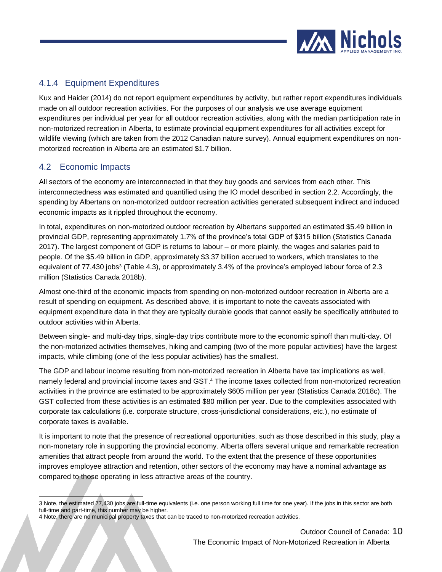

### <span id="page-10-0"></span>4.1.4 Equipment Expenditures

Kux and Haider (2014) do not report equipment expenditures by activity, but rather report expenditures individuals made on all outdoor recreation activities. For the purposes of our analysis we use average equipment expenditures per individual per year for all outdoor recreation activities, along with the median participation rate in non-motorized recreation in Alberta, to estimate provincial equipment expenditures for all activities except for wildlife viewing (which are taken from the 2012 Canadian nature survey). Annual equipment expenditures on nonmotorized recreation in Alberta are an estimated \$1.7 billion.

### <span id="page-10-1"></span>4.2 Economic Impacts

All sectors of the economy are interconnected in that they buy goods and services from each other. This interconnectedness was estimated and quantified using the IO model described in section 2.2. Accordingly, the spending by Albertans on non-motorized outdoor recreation activities generated subsequent indirect and induced economic impacts as it rippled throughout the economy.

In total, expenditures on non-motorized outdoor recreation by Albertans supported an estimated \$5.49 billion in provincial GDP, representing approximately 1.7% of the province's total GDP of \$315 billion (Statistics Canada 2017). The largest component of GDP is returns to labour – or more plainly, the wages and salaries paid to people. Of the \$5.49 billion in GDP, approximately \$3.37 billion accrued to workers, which translates to the equivalent of 77,430 jobs<sup>3</sup> [\(Table 4.3\)](#page-11-0), or approximately 3.4% of the province's employed labour force of 2.3 million (Statistics Canada 2018b).

Almost one-third of the economic impacts from spending on non-motorized outdoor recreation in Alberta are a result of spending on equipment. As described above, it is important to note the caveats associated with equipment expenditure data in that they are typically durable goods that cannot easily be specifically attributed to outdoor activities within Alberta.

Between single- and multi-day trips, single-day trips contribute more to the economic spinoff than multi-day. Of the non-motorized activities themselves, hiking and camping (two of the more popular activities) have the largest impacts, while climbing (one of the less popular activities) has the smallest.

The GDP and labour income resulting from non-motorized recreation in Alberta have tax implications as well, namely federal and provincial income taxes and GST.<sup>4</sup> The income taxes collected from non-motorized recreation activities in the province are estimated to be approximately \$605 million per year (Statistics Canada 2018c). The GST collected from these activities is an estimated \$80 million per year. Due to the complexities associated with corporate tax calculations (i.e. corporate structure, cross-jurisdictional considerations, etc.), no estimate of corporate taxes is available.

It is important to note that the presence of recreational opportunities, such as those described in this study, play a non-monetary role in supporting the provincial economy. Alberta offers several unique and remarkable recreation amenities that attract people from around the world. To the extent that the presence of these opportunities improves employee attraction and retention, other sectors of the economy may have a nominal advantage as compared to those operating in less attractive areas of the country.

l 3 Note, the estimated 77,430 jobs are full-time equivalents (i.e. one person working full time for one year). If the jobs in this sector are both full-time and part-time, this number may be higher.

<sup>4</sup> Note, there are no municipal property taxes that can be traced to non-motorized recreation activities.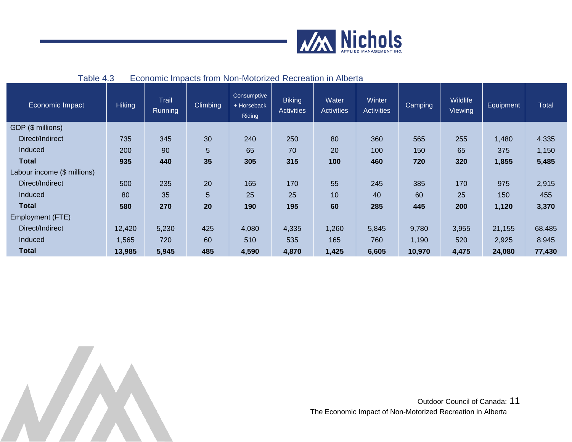

| 1.001011                    |               |                  |          |                                             |                                    |                            |                             |         |                     |                  |              |
|-----------------------------|---------------|------------------|----------|---------------------------------------------|------------------------------------|----------------------------|-----------------------------|---------|---------------------|------------------|--------------|
| Economic Impact             | <b>Hiking</b> | Trail<br>Running | Climbing | Consumptive<br>+ Horseback<br><b>Riding</b> | <b>Biking</b><br><b>Activities</b> | Water<br><b>Activities</b> | Winter<br><b>Activities</b> | Camping | Wildlife<br>Viewing | <b>Equipment</b> | <b>Total</b> |
| GDP (\$ millions)           |               |                  |          |                                             |                                    |                            |                             |         |                     |                  |              |
| Direct/Indirect             | 735           | 345              | 30       | 240                                         | 250                                | 80                         | 360                         | 565     | 255                 | 1,480            | 4,335        |
| Induced                     | 200           | 90               | 5        | 65                                          | 70                                 | 20                         | 100                         | 150     | 65                  | 375              | 1,150        |
| <b>Total</b>                | 935           | 440              | 35       | 305                                         | 315                                | 100                        | 460                         | 720     | 320                 | 1,855            | 5,485        |
| Labour income (\$ millions) |               |                  |          |                                             |                                    |                            |                             |         |                     |                  |              |
| Direct/Indirect             | 500           | 235              | 20       | 165                                         | 170                                | 55                         | 245                         | 385     | 170                 | 975              | 2,915        |
| Induced                     | 80            | 35               | 5        | 25                                          | 25                                 | 10                         | 40                          | 60      | 25                  | 150              | 455          |
| <b>Total</b>                | 580           | 270              | 20       | 190                                         | 195                                | 60                         | 285                         | 445     | 200                 | 1,120            | 3,370        |
| Employment (FTE)            |               |                  |          |                                             |                                    |                            |                             |         |                     |                  |              |
| Direct/Indirect             | 12,420        | 5,230            | 425      | 4,080                                       | 4,335                              | 1,260                      | 5,845                       | 9,780   | 3,955               | 21,155           | 68,485       |
| Induced                     | 1,565         | 720              | 60       | 510                                         | 535                                | 165                        | 760                         | 1,190   | 520                 | 2,925            | 8,945        |
| <b>Total</b>                | 13,985        | 5,945            | 485      | 4,590                                       | 4,870                              | 1,425                      | 6,605                       | 10,970  | 4,475               | 24,080           | 77,430       |

#### <span id="page-11-0"></span>Table 4.3 Economic Impacts from Non-Motorized Recreation in Alberta

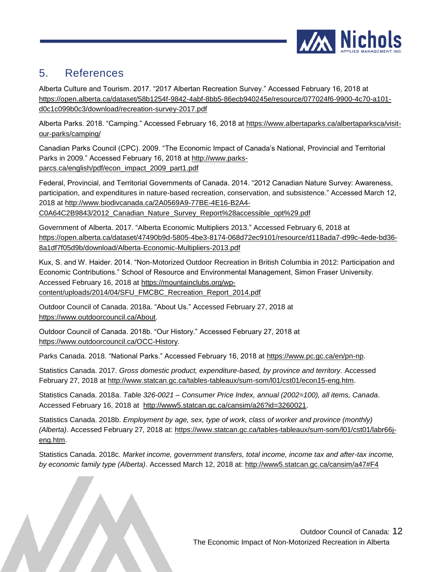

## <span id="page-12-0"></span>5. References

Alberta Culture and Tourism. 2017. "2017 Albertan Recreation Survey." Accessed February 16, 2018 at [https://open.alberta.ca/dataset/58b1254f-9842-4abf-8bb5-86ecb940245e/resource/077024f6-9900-4c70-a101](https://open.alberta.ca/dataset/58b1254f-9842-4abf-8bb5-86ecb940245e/resource/077024f6-9900-4c70-a101-d0c1c099b0c3/download/recreation-survey-2017.pdf) [d0c1c099b0c3/download/recreation-survey-2017.pdf](https://open.alberta.ca/dataset/58b1254f-9842-4abf-8bb5-86ecb940245e/resource/077024f6-9900-4c70-a101-d0c1c099b0c3/download/recreation-survey-2017.pdf)

Alberta Parks. 2018. "Camping." Accessed February 16, 2018 at [https://www.albertaparks.ca/albertaparksca/visit](https://www.albertaparks.ca/albertaparksca/visit-our-parks/camping/)[our-parks/camping/](https://www.albertaparks.ca/albertaparksca/visit-our-parks/camping/)

Canadian Parks Council (CPC). 2009. "The Economic Impact of Canada's National, Provincial and Territorial Parks in 2009." Accessed February 16, 2018 at [http://www.parks](http://www.parks-parcs.ca/english/pdf/econ_impact_2009_part1.pdf)[parcs.ca/english/pdf/econ\\_impact\\_2009\\_part1.pdf](http://www.parks-parcs.ca/english/pdf/econ_impact_2009_part1.pdf)

Federal, Provincial, and Territorial Governments of Canada. 2014. "2012 Canadian Nature Survey: Awareness, participation, and expenditures in nature-based recreation, conservation, and subsistence." Accessed March 12, 2018 at [http://www.biodivcanada.ca/2A0569A9-77BE-4E16-B2A4-](http://www.biodivcanada.ca/2A0569A9-77BE-4E16-B2A4-C0A64C2B9843/2012_Canadian_Nature_Survey_Report%28accessible_opt%29.pdf) [C0A64C2B9843/2012\\_Canadian\\_Nature\\_Survey\\_Report%28accessible\\_opt%29.pdf](http://www.biodivcanada.ca/2A0569A9-77BE-4E16-B2A4-C0A64C2B9843/2012_Canadian_Nature_Survey_Report%28accessible_opt%29.pdf)

Government of Alberta. 2017. "Alberta Economic Multipliers 2013." Accessed February 6, 2018 at [https://open.alberta.ca/dataset/47490b9d-5805-4be3-8174-068d72ec9101/resource/d118ada7-d99c-4ede-bd36-](https://open.alberta.ca/dataset/47490b9d-5805-4be3-8174-068d72ec9101/resource/d118ada7-d99c-4ede-bd36-8a1df7f05d9b/download/Alberta-Economic-Multipliers-2013.pdf) [8a1df7f05d9b/download/Alberta-Economic-Multipliers-2013.pdf](https://open.alberta.ca/dataset/47490b9d-5805-4be3-8174-068d72ec9101/resource/d118ada7-d99c-4ede-bd36-8a1df7f05d9b/download/Alberta-Economic-Multipliers-2013.pdf)

Kux, S. and W. Haider. 2014. "Non-Motorized Outdoor Recreation in British Columbia in 2012: Participation and Economic Contributions." School of Resource and Environmental Management, Simon Fraser University. Accessed February 16, 2018 at [https://mountainclubs.org/wp-](https://mountainclubs.org/wp-content/uploads/2014/04/SFU_FMCBC_Recreation_Report_2014.pdf)

[content/uploads/2014/04/SFU\\_FMCBC\\_Recreation\\_Report\\_2014.pdf](https://mountainclubs.org/wp-content/uploads/2014/04/SFU_FMCBC_Recreation_Report_2014.pdf)

Outdoor Council of Canada. 2018a. "About Us." Accessed February 27, 2018 at [https://www.outdoorcouncil.ca/About.](https://www.outdoorcouncil.ca/About)

Outdoor Council of Canada. 2018b. "Our History." Accessed February 27, 2018 at [https://www.outdoorcouncil.ca/OCC-History.](https://www.outdoorcouncil.ca/OCC-History)

Parks Canada. 2018. "National Parks." Accessed February 16, 2018 at [https://www.pc.gc.ca/en/pn-np.](https://www.pc.gc.ca/en/pn-np)

Statistics Canada. 2017. *Gross domestic product, expenditure-based, by province and territory.* Accessed February 27, 2018 at [http://www.statcan.gc.ca/tables-tableaux/sum-som/l01/cst01/econ15-eng.htm.](http://www.statcan.gc.ca/tables-tableaux/sum-som/l01/cst01/econ15-eng.htm)

Statistics Canada. 2018a. *Table 326-0021 – Consumer Price Index, annual (2002=100), all items, Canada*. Accessed February 16, 2018 at [http://www5.statcan.gc.ca/cansim/a26?id=3260021.](http://www5.statcan.gc.ca/cansim/a26?id=3260021)

Statistics Canada. 2018b. *Employment by age, sex, type of work, class of worker and province (monthly) (Alberta)*. Accessed February 27, 2018 at: [https://www.statcan.gc.ca/tables-tableaux/sum-som/l01/cst01/labr66j](https://www.statcan.gc.ca/tables-tableaux/sum-som/l01/cst01/labr66j-eng.htm)[eng.htm.](https://www.statcan.gc.ca/tables-tableaux/sum-som/l01/cst01/labr66j-eng.htm)

Statistics Canada. 2018c. *Market income, government transfers, total income, income tax and after-tax income, by economic family type (Alberta)*. Accessed March 12, 2018 at:<http://www5.statcan.gc.ca/cansim/a47#F4>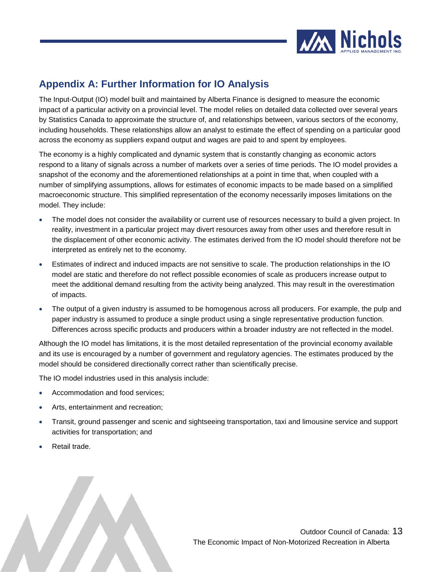

### <span id="page-13-0"></span>**Appendix A: Further Information for IO Analysis**

The Input-Output (IO) model built and maintained by Alberta Finance is designed to measure the economic impact of a particular activity on a provincial level. The model relies on detailed data collected over several years by Statistics Canada to approximate the structure of, and relationships between, various sectors of the economy, including households. These relationships allow an analyst to estimate the effect of spending on a particular good across the economy as suppliers expand output and wages are paid to and spent by employees.

The economy is a highly complicated and dynamic system that is constantly changing as economic actors respond to a litany of signals across a number of markets over a series of time periods. The IO model provides a snapshot of the economy and the aforementioned relationships at a point in time that, when coupled with a number of simplifying assumptions, allows for estimates of economic impacts to be made based on a simplified macroeconomic structure. This simplified representation of the economy necessarily imposes limitations on the model. They include:

- The model does not consider the availability or current use of resources necessary to build a given project. In reality, investment in a particular project may divert resources away from other uses and therefore result in the displacement of other economic activity. The estimates derived from the IO model should therefore not be interpreted as entirely net to the economy.
- Estimates of indirect and induced impacts are not sensitive to scale. The production relationships in the IO model are static and therefore do not reflect possible economies of scale as producers increase output to meet the additional demand resulting from the activity being analyzed. This may result in the overestimation of impacts.
- The output of a given industry is assumed to be homogenous across all producers. For example, the pulp and paper industry is assumed to produce a single product using a single representative production function. Differences across specific products and producers within a broader industry are not reflected in the model.

Although the IO model has limitations, it is the most detailed representation of the provincial economy available and its use is encouraged by a number of government and regulatory agencies. The estimates produced by the model should be considered directionally correct rather than scientifically precise.

The IO model industries used in this analysis include:

- Accommodation and food services;
- Arts, entertainment and recreation;
- Transit, ground passenger and scenic and sightseeing transportation, taxi and limousine service and support activities for transportation; and
- Retail trade.